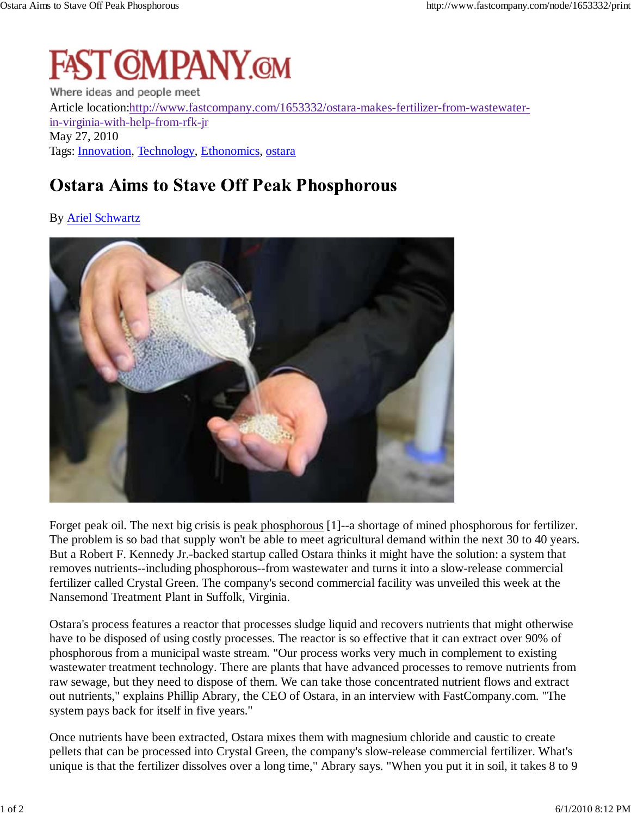## **FAST CMPANY.CM**

Where ideas and people meet Article location:http://www.fastcompany.com/1653332/ostara-makes-fertilizer-from-wastewaterin-virginia-with-help-from-rfk-jr May 27, 2010 Tags: Innovation, Technology, Ethonomics, ostara

## **Ostara Aims to Stave Off Peak Phosphorous**

## By Ariel Schwartz



Forget peak oil. The next big crisis is peak phosphorous [1]--a shortage of mined phosphorous for fertilizer. The problem is so bad that supply won't be able to meet agricultural demand within the next 30 to 40 years. But a Robert F. Kennedy Jr.-backed startup called Ostara thinks it might have the solution: a system that removes nutrients--including phosphorous--from wastewater and turns it into a slow-release commercial fertilizer called Crystal Green. The company's second commercial facility was unveiled this week at the Nansemond Treatment Plant in Suffolk, Virginia.

Ostara's process features a reactor that processes sludge liquid and recovers nutrients that might otherwise have to be disposed of using costly processes. The reactor is so effective that it can extract over 90% of phosphorous from a municipal waste stream. "Our process works very much in complement to existing wastewater treatment technology. There are plants that have advanced processes to remove nutrients from raw sewage, but they need to dispose of them. We can take those concentrated nutrient flows and extract out nutrients," explains Phillip Abrary, the CEO of Ostara, in an interview with FastCompany.com. "The system pays back for itself in five years."

Once nutrients have been extracted, Ostara mixes them with magnesium chloride and caustic to create pellets that can be processed into Crystal Green, the company's slow-release commercial fertilizer. What's unique is that the fertilizer dissolves over a long time," Abrary says. "When you put it in soil, it takes 8 to 9